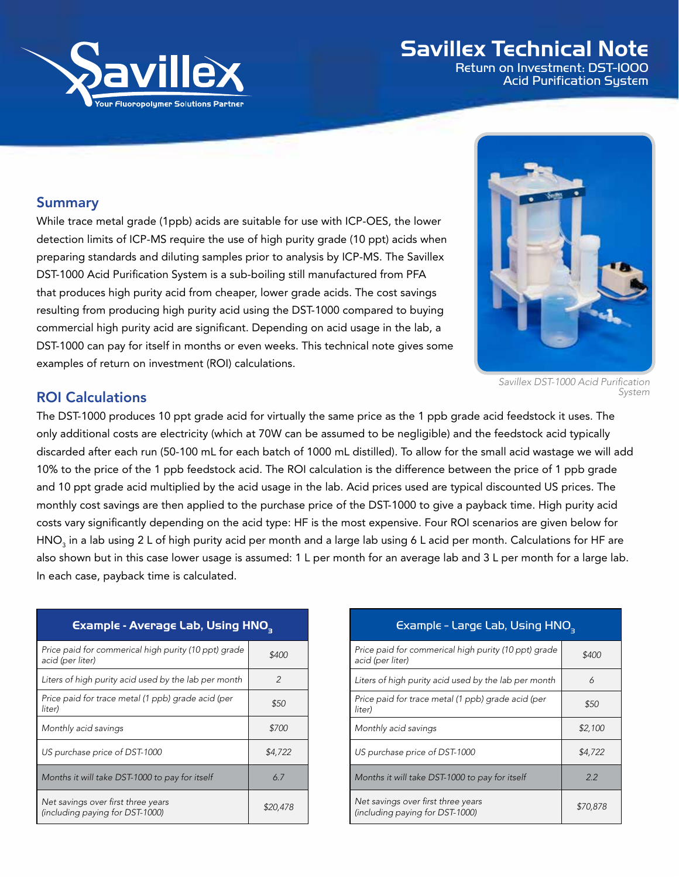

## Savillex Technical Note

Return on Investment: DST-1000 Acid Purification System

## Summary

While trace metal grade (1ppb) acids are suitable for use with ICP-OES, the lower detection limits of ICP-MS require the use of high purity grade (10 ppt) acids when preparing standards and diluting samples prior to analysis by ICP-MS. The Savillex DST-1000 Acid Purification System is a sub-boiling still manufactured from PFA that produces high purity acid from cheaper, lower grade acids. The cost savings resulting from producing high purity acid using the DST-1000 compared to buying commercial high purity acid are significant. Depending on acid usage in the lab, a DST-1000 can pay for itself in months or even weeks. This technical note gives some examples of return on investment (ROI) calculations.



*Savillex DST-1000 Acid Purification System*

## ROI Calculations

The DST-1000 produces 10 ppt grade acid for virtually the same price as the 1 ppb grade acid feedstock it uses. The only additional costs are electricity (which at 70W can be assumed to be negligible) and the feedstock acid typically discarded after each run (50-100 mL for each batch of 1000 mL distilled). To allow for the small acid wastage we will add 10% to the price of the 1 ppb feedstock acid. The ROI calculation is the difference between the price of 1 ppb grade and 10 ppt grade acid multiplied by the acid usage in the lab. Acid prices used are typical discounted US prices. The monthly cost savings are then applied to the purchase price of the DST-1000 to give a payback time. High purity acid costs vary significantly depending on the acid type: HF is the most expensive. Four ROI scenarios are given below for HNO $_3$  in a lab using 2 L of high purity acid per month and a large lab using 6 L acid per month. Calculations for HF are also shown but in this case lower usage is assumed: 1 L per month for an average lab and 3 L per month for a large lab. In each case, payback time is calculated.

| <b>Example - Average Lab, Using HNO<sub>3</sub></b>                      |               |  |
|--------------------------------------------------------------------------|---------------|--|
| Price paid for commerical high purity (10 ppt) grade<br>acid (per liter) | \$400         |  |
| Liters of high purity acid used by the lab per month                     | $\mathcal{P}$ |  |
| Price paid for trace metal (1 ppb) grade acid (per<br>liter)             | \$50          |  |
| Monthly acid savings                                                     | \$700         |  |
| US purchase price of DST-1000                                            | \$4,722       |  |
| Months it will take DST-1000 to pay for itself                           | 6.7           |  |
| Net savings over first three years<br>(including paying for DST-1000)    | \$20,478      |  |

| Example - Large Lab, Using HNO <sub>3  </sub> |  |
|-----------------------------------------------|--|
|-----------------------------------------------|--|

| Price paid for commerical high purity (10 ppt) grade<br>acid (per liter) | \$400    |
|--------------------------------------------------------------------------|----------|
| Liters of high purity acid used by the lab per month                     | 6        |
| Price paid for trace metal (1 ppb) grade acid (per<br>liter)             | \$50     |
| Monthly acid savings                                                     | \$2.100  |
| US purchase price of DST-1000                                            | \$4,722  |
| Months it will take DST-1000 to pay for itself                           | 22       |
| Net savings over first three years<br>(including paying for DST-1000)    | \$70.878 |